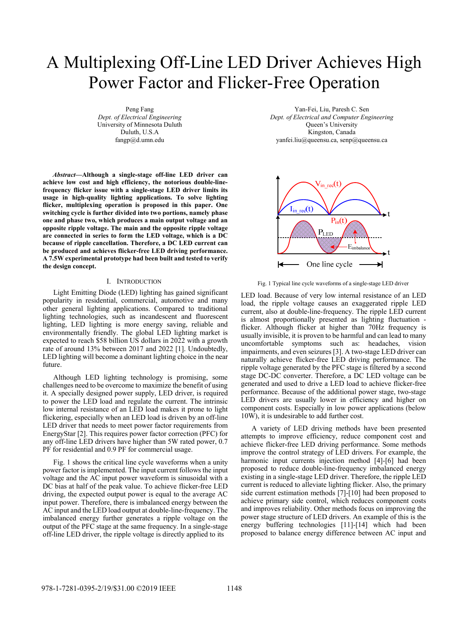# A Multiplexing Off-Line LED Driver Achieves High Power Factor and Flicker-Free Operation

Peng Fang *Dept. of Electrical Engineering* University of Minnesota Duluth Duluth, U.S.A fangp@d.umn.edu

*Abstract***—Although a single-stage off-line LED driver can achieve low cost and high efficiency, the notorious double-linefrequency flicker issue with a single-stage LED driver limits its usage in high-quality lighting applications. To solve lighting flicker, multiplexing operation is proposed in this paper. One switching cycle is further divided into two portions, namely phase one and phase two, which produces a main output voltage and an opposite ripple voltage. The main and the opposite ripple voltage are connected in series to form the LED voltage, which is a DC because of ripple cancellation. Therefore, a DC LED current can be produced and achieves flicker-free LED driving performance. A 7.5W experimental prototype had been built and tested to verify the design concept.** 

# I. INTRODUCTION

Light Emitting Diode (LED) lighting has gained significant popularity in residential, commercial, automotive and many other general lighting applications. Compared to traditional lighting technologies, such as incandescent and fluorescent lighting, LED lighting is more energy saving, reliable and environmentally friendly. The global LED lighting market is expected to reach \$58 billion US dollars in 2022 with a growth rate of around 13% between 2017 and 2022 [1]. Undoubtedly, LED lighting will become a dominant lighting choice in the near future.

Although LED lighting technology is promising, some challenges need to be overcome to maximize the benefit of using it. A specially designed power supply, LED driver, is required to power the LED load and regulate the current. The intrinsic low internal resistance of an LED load makes it prone to light flickering, especially when an LED load is driven by an off-line LED driver that needs to meet power factor requirements from EnergyStar [2]. This requires power factor correction (PFC) for any off-line LED drivers have higher than 5W rated power, 0.7 PF for residential and 0.9 PF for commercial usage.

Fig. 1 shows the critical line cycle waveforms when a unity power factor is implemented. The input current follows the input voltage and the AC input power waveform is sinusoidal with a DC bias at half of the peak value. To achieve flicker-free LED driving, the expected output power is equal to the average AC input power. Therefore, there is imbalanced energy between the AC input and the LED load output at double-line-frequency. The imbalanced energy further generates a ripple voltage on the output of the PFC stage at the same frequency. In a single-stage off-line LED driver, the ripple voltage is directly applied to its

Yan-Fei, Liu, Paresh C. Sen *Dept. of Electrical and Computer Engineering*  Queen's University Kingston, Canada yanfei.liu@queensu.ca, senp@queensu.ca



Fig. 1 Typical line cycle waveforms of a single-stage LED driver

LED load. Because of very low internal resistance of an LED load, the ripple voltage causes an exaggerated ripple LED current, also at double-line-frequency. The ripple LED current is almost proportionally presented as lighting fluctuation flicker. Although flicker at higher than 70Hz frequency is usually invisible, it is proven to be harmful and can lead to many uncomfortable symptoms such as: headaches, vision impairments, and even seizures [3]. A two-stage LED driver can naturally achieve flicker-free LED driving performance. The ripple voltage generated by the PFC stage is filtered by a second stage DC-DC converter. Therefore, a DC LED voltage can be generated and used to drive a LED load to achieve flicker-free performance. Because of the additional power stage, two-stage LED drivers are usually lower in efficiency and higher on component costs. Especially in low power applications (below 10W), it is undesirable to add further cost.

A variety of LED driving methods have been presented attempts to improve efficiency, reduce component cost and achieve flicker-free LED driving performance. Some methods improve the control strategy of LED drivers. For example, the harmonic input currents injection method [4]-[6] had been proposed to reduce double-line-frequency imbalanced energy existing in a single-stage LED driver. Therefore, the ripple LED current is reduced to alleviate lighting flicker. Also, the primary side current estimation methods [7]-[10] had been proposed to achieve primary side control, which reduces component costs and improves reliability. Other methods focus on improving the power stage structure of LED drivers. An example of this is the energy buffering technologies [11]-[14] which had been proposed to balance energy difference between AC input and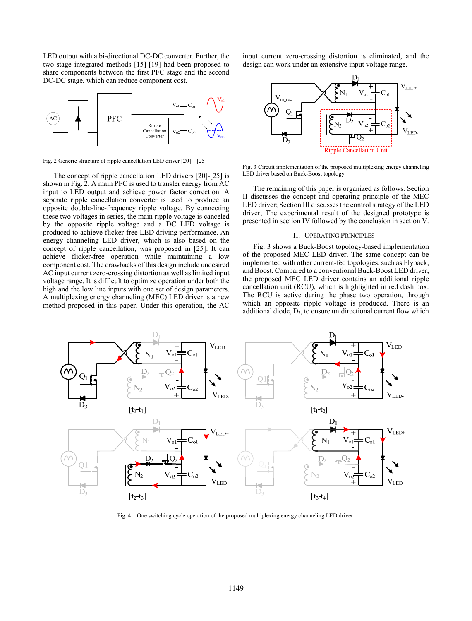LED output with a bi-directional DC-DC converter. Further, the two-stage integrated methods [15]-[19] had been proposed to share components between the first PFC stage and the second DC-DC stage, which can reduce component cost.



Fig. 2 Generic structure of ripple cancellation LED driver [20] – [25]

The concept of ripple cancellation LED drivers [20]-[25] is shown in Fig. 2. A main PFC is used to transfer energy from AC input to LED output and achieve power factor correction. A separate ripple cancellation converter is used to produce an opposite double-line-frequency ripple voltage. By connecting these two voltages in series, the main ripple voltage is canceled by the opposite ripple voltage and a DC LED voltage is produced to achieve flicker-free LED driving performance. An energy channeling LED driver, which is also based on the concept of ripple cancellation, was proposed in [25]. It can achieve flicker-free operation while maintaining a low component cost. The drawbacks of this design include undesired AC input current zero-crossing distortion as well as limited input voltage range. It is difficult to optimize operation under both the high and the low line inputs with one set of design parameters. A multiplexing energy channeling (MEC) LED driver is a new method proposed in this paper. Under this operation, the AC

input current zero-crossing distortion is eliminated, and the design can work under an extensive input voltage range.



Fig. 3 Circuit implementation of the proposed multiplexing energy channeling LED driver based on Buck-Boost topology.

The remaining of this paper is organized as follows. Section II discusses the concept and operating principle of the MEC LED driver; Section III discusses the control strategy of the LED driver; The experimental result of the designed prototype is presented in section IV followed by the conclusion in section V.

# II. OPERATING PRINCIPLES

Fig. 3 shows a Buck-Boost topology-based implementation of the proposed MEC LED driver. The same concept can be implemented with other current-fed topologies, such as Flyback, and Boost. Compared to a conventional Buck-Boost LED driver, the proposed MEC LED driver contains an additional ripple cancellation unit (RCU), which is highlighted in red dash box. The RCU is active during the phase two operation, through which an opposite ripple voltage is produced. There is an additional diode,  $D_3$ , to ensure unidirectional current flow which



Fig. 4. One switching cycle operation of the proposed multiplexing energy channeling LED driver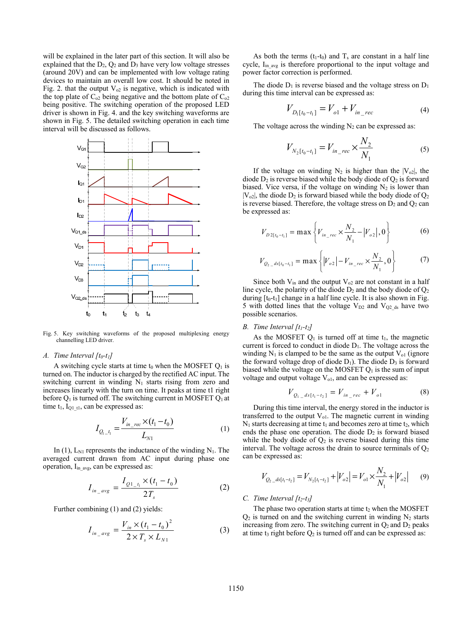will be explained in the later part of this section. It will also be explained that the  $D_2$ ,  $Q_2$  and  $D_3$  have very low voltage stresses (around 20V) and can be implemented with low voltage rating devices to maintain an overall low cost. It should be noted in Fig. 2. that the output  $V_{02}$  is negative, which is indicated with the top plate of  $C_{02}$  being negative and the bottom plate of  $C_{02}$ being positive. The switching operation of the proposed LED driver is shown in Fig. 4. and the key switching waveforms are shown in Fig. 5. The detailed switching operation in each time interval will be discussed as follows.



Fig. 5. Key switching waveforms of the proposed multiplexing energy channelling LED driver.

#### *A. Time Interval [t0-t1]*

A switching cycle starts at time t<sub>0</sub> when the MOSFET  $Q_1$  is turned on. The inductor is charged by the rectified AC input. The switching current in winding  $N_1$  starts rising from zero and increases linearly with the turn on time. It peaks at time t1 right before  $Q_1$  is turned off. The switching current in MOSFET  $Q_1$  at time  $t_1$ ,  $I_{Q1_t}$ , can be expressed as:

$$
I_{Q_{1\_t_1}} = \frac{V_{in\_rec} \times (t_1 - t_0)}{L_{N1}}
$$
 (1)

In  $(1)$ ,  $L_{N1}$  represents the inductance of the winding  $N_1$ . The averaged current drawn from AC input during phase one operation, I<sub>in\_avg</sub>, can be expressed as:

$$
I_{in\_avg} = \frac{I_{Q1\_t_1} \times (t_1 - t_0)}{2T_s}
$$
 (2)

Further combining (1) and (2) yields:

$$
I_{in\_avg} = \frac{V_{in} \times (t_1 - t_0)^2}{2 \times T_s \times L_{N1}}
$$
 (3)

As both the terms  $(t_1-t_0)$  and  $T_s$  are constant in a half line cycle,  $I_{in\text{avg}}$  is therefore proportional to the input voltage and power factor correction is performed.

The diode  $D_1$  is reverse biased and the voltage stress on  $D_1$ during this time interval can be expressed as:

$$
V_{D_1[t_0 - t_1]} = V_{o1} + V_{in\_rec}
$$
 (4)

The voltage across the winding  $N_2$  can be expressed as:

$$
V_{N_2[t_0 - t_1]} = V_{in\_rec} \times \frac{N_2}{N_1}
$$
 (5)

If the voltage on winding  $N_2$  is higher than the  $|V_{o2}|$ , the diode  $D_2$  is reverse biased while the body diode of  $Q_2$  is forward biased. Vice versa, if the voltage on winding  $N_2$  is lower than  $|V_{o2}|$ , the diode  $D_2$  is forward biased while the body diode of  $Q_2$ is reverse biased. Therefore, the voltage stress on  $D_2$  and  $Q_2$  can be expressed as:

$$
V_{D2[t_0 - t_1]} = \max \left\{ V_{in\_rec} \times \frac{N_2}{N_1} - |V_{o2}|, 0 \right\}
$$
 (6)

$$
V_{Q_2 = ds[t_0 - t_1]} = \max \left\{ |V_{o2}| - V_{in\_rec} \times \frac{N_2}{N_1}, 0 \right\}
$$
 (7)

Since both  $V_{in}$  and the output  $V_{o2}$  are not constant in a half line cycle, the polarity of the diode  $D_2$  and the body diode of  $Q_2$ during  $[t_0-t_1]$  change in a half line cycle. It is also shown in Fig. 5 with dotted lines that the voltage  $V_{D2}$  and  $V_{Q2_d}$ <sub>ds</sub> have two possible scenarios.

# *B. Time Interval [t1-t2]*

As the MOSFET  $Q_1$  is turned off at time  $t_1$ , the magnetic current is forced to conduct in diode  $D_1$ . The voltage across the winding  $N_1$  is clamped to be the same as the output  $V_{01}$  (ignore the forward voltage drop of diode  $D_1$ ). The diode  $D_3$  is forward biased while the voltage on the MOSFET  $Q_1$  is the sum of input voltage and output voltage  $V<sub>ol</sub>$ , and can be expressed as:

$$
V_{Q_{1}{}_{-}ds[t_{1}-t_{2}]} = V_{in_{-}rec} + V_{o1}
$$
 (8)

During this time interval, the energy stored in the inductor is transferred to the output  $V_{ol}$ . The magnetic current in winding  $N_1$  starts decreasing at time  $t_1$  and becomes zero at time  $t_2$ , which ends the phase one operation. The diode  $D_2$  is forward biased while the body diode of  $Q_2$  is reverse biased during this time interval. The voltage across the drain to source terminals of  $Q_2$ can be expressed as:

$$
V_{Q_2 \_ds[t_1 - t_2]} = V_{N_2[t_1 - t_2]} + |V_{o2}| = V_{o1} \times \frac{N_2}{N_1} + |V_{o2}| \tag{9}
$$

# *C. Time Interval [t2-t3]*

The phase two operation starts at time  $t_2$  when the MOSFET  $Q_2$  is turned on and the switching current in winding  $N_2$  starts increasing from zero. The switching current in  $O_2$  and  $D_2$  peaks at time t<sub>3</sub> right before  $O_2$  is turned off and can be expressed as: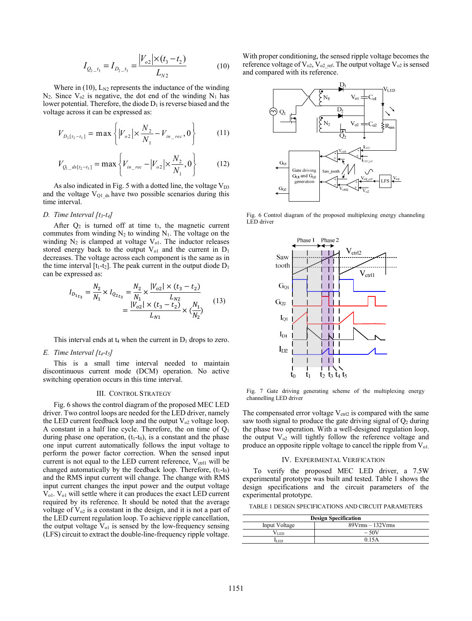$$
I_{Q_2_{1}} = I_{D_2_{1}} = \frac{|V_{o2}| \times (t_3 - t_2)}{L_{N2}}
$$
 (10)

Where in  $(10)$ ,  $L_{N2}$  represents the inductance of the winding  $N_2$ . Since  $V_{\alpha^2}$  is negative, the dot end of the winding  $N_1$  has lower potential. Therefore, the diode  $D_1$  is reverse biased and the voltage across it can be expressed as:

$$
V_{D_3[t_2-t_3]} = \max \left\{ |V_{o2}| \times \frac{N_2}{N_1} - V_{in\_rec}, 0 \right\}
$$
 (11)

$$
V_{Q_{1}\_ds[t_2-t_3]} = \max \left\{ V_{in\_rec} - \left| V_{o2} \right| \times \frac{N_2}{N_1}, 0 \right\}
$$
 (12)

As also indicated in Fig. 5 with a dotted line, the voltage  $V_{D3}$ and the voltage  $V_{Q1_d}$  as have two possible scenarios during this time interval.

#### *D. Time Interval [t3-t4]*

After  $Q_2$  is turned off at time  $t_3$ , the magnetic current commutes from winding  $N_2$  to winding  $N_1$ . The voltage on the winding  $N_2$  is clamped at voltage  $V_{ol}$ . The inductor releases stored energy back to the output  $V_{01}$  and the current in  $D_1$ decreases. The voltage across each component is the same as in the time interval  $[t_1-t_2]$ . The peak current in the output diode  $D_1$ can be expressed as:

$$
I_{D_{1t_3}} = \frac{N_2}{N_1} \times I_{Q_{2t_3}} = \frac{N_2}{N_1} \times \frac{|V_{o2}| \times (t_3 - t_2)}{L_{N2}}
$$
  
= 
$$
\frac{|V_{o2}| \times (t_3 - t_2)}{L_{N1}} \times (\frac{N_1}{N_2})
$$
(13)

This interval ends at  $t_4$  when the current in  $D_1$  drops to zero.

## *E. Time Interval [t4-t5]*

This is a small time interval needed to maintain discontinuous current mode (DCM) operation. No active switching operation occurs in this time interval.

#### III. CONTROL STRATEGY

Fig. 6 shows the control diagram of the proposed MEC LED driver. Two control loops are needed for the LED driver, namely the LED current feedback loop and the output  $V_{02}$  voltage loop. A constant in a half line cycle. Therefore, the on time of  $Q_1$ during phase one operation,  $(t_1-t_0)$ , is a constant and the phase one input current automatically follows the input voltage to perform the power factor correction. When the sensed input current is not equal to the LED current reference,  $V_{\text{ctrl}}$  will be changed automatically by the feedback loop. Therefore,  $(t_1-t_0)$ and the RMS input current will change. The change with RMS input current changes the input power and the output voltage Vo1. Vo1 will settle where it can produces the exact LED current required by its reference. It should be noted that the average voltage of  $V<sub>o2</sub>$  is a constant in the design, and it is not a part of the LED current regulation loop. To achieve ripple cancellation, the output voltage  $V<sub>ol</sub>$  is sensed by the low-frequency sensing (LFS) circuit to extract the double-line-frequency ripple voltage. With proper conditioning, the sensed ripple voltage becomes the reference voltage of  $V_{o2}$ ,  $V_{o2_{ref}}$ . The output voltage  $V_{o2}$  is sensed and compared with its reference.



Fig. 6 Control diagram of the proposed multiplexing energy channeling LED driver



Fig. 7 Gate driving generating scheme of the multiplexing energy channelling LED driver

The compensated error voltage  $V_{ctrl2}$  is compared with the same saw tooth signal to produce the gate driving signal of  $Q_2$  during the phase two operation. With a well-designed regulation loop, the output  $V_{02}$  will tightly follow the reference voltage and produce an opposite ripple voltage to cancel the ripple from  $V_{01}$ .

# IV. EXPERIMENTAL VERIFICATION

To verify the proposed MEC LED driver, a 7.5W experimental prototype was built and tested. Table 1 shows the design specifications and the circuit parameters of the experimental prototype.

TABLE 1 DESIGN SPECIFICATIONS AND CIRCUIT PARAMETERS

| <b>Design Specification</b> |                       |
|-----------------------------|-----------------------|
| Input Voltage               | $89V$ rms $-132V$ rms |
| ⊄LED                        | $\sim$ 50V            |
| li en                       | 0.15A                 |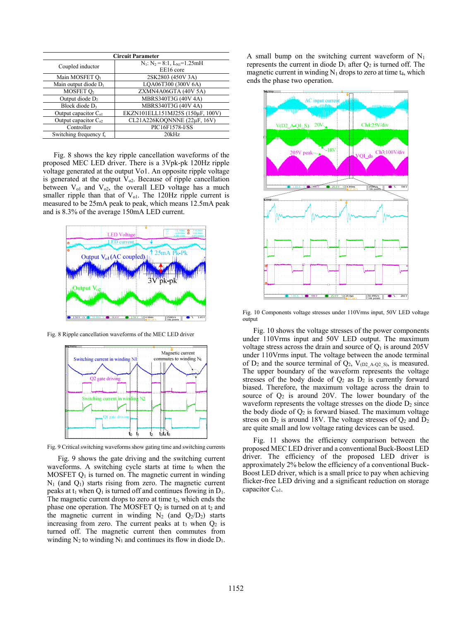| <b>Circuit Parameter</b>           |                                                       |
|------------------------------------|-------------------------------------------------------|
| Coupled inductor                   | $N_1$ : $N_2 = 8$ :1, $L_{N1} = 1.25$ mH<br>EE16 core |
| Main MOSFET O <sub>1</sub>         | 2SK2803 (450V 3A)                                     |
| Main output diode $D_1$            | LOA06T300 (300V 6A)                                   |
| MOSFET O                           | ZXMN4A06GTA (40V 5A)                                  |
| Output diode $D_2$                 | MBRS340T3G (40V 4A)                                   |
| Block diode D <sub>3</sub>         | MBRS340T3G (40V 4A)                                   |
| Output capacitor $C_{ol}$          | EKZN101ELL151MJ25S (150uF, 100V)                      |
| Output capacitor $C_{02}$          | CL21A226KOQNNNE (22µF, 16V)                           |
| Controller                         | PIC16F1578-I/SS                                       |
| Switching frequency f <sub>s</sub> | 20kHz                                                 |

Fig. 8 shows the key ripple cancellation waveforms of the proposed MEC LED driver. There is a 3Vpk-pk 120Hz ripple voltage generated at the output Vo1. An opposite ripple voltage is generated at the output  $V<sub>o2</sub>$ . Because of ripple cancellation between  $V_{ol}$  and  $V_{ol}$ , the overall LED voltage has a much smaller ripple than that of  $V<sub>ol</sub>$ . The 120Hz ripple current is measured to be 25mA peak to peak, which means 12.5mA peak and is 8.3% of the average 150mA LED current.



Fig. 8 Ripple cancellation waveforms of the MEC LED driver



Fig. 9 Critical switching waveforms show gating time and switching currents

Fig. 9 shows the gate driving and the switching current waveforms. A switching cycle starts at time  $t_0$  when the MOSFET  $Q_1$  is turned on. The magnetic current in winding  $N_1$  (and  $Q_1$ ) starts rising from zero. The magnetic current peaks at  $t_1$  when  $Q_1$  is turned off and continues flowing in  $D_1$ . The magnetic current drops to zero at time  $t_2$ , which ends the phase one operation. The MOSFET  $Q_2$  is turned on at  $t_2$  and the magnetic current in winding  $N_2$  (and  $Q_2/D_2$ ) starts increasing from zero. The current peaks at  $t_3$  when  $Q_2$  is turned off. The magnetic current then commutes from winding  $N_2$  to winding  $N_1$  and continues its flow in diode  $D_1$ .

A small bump on the switching current waveform of  $N_1$ represents the current in diode  $D_1$  after  $Q_2$  is turned off. The magnetic current in winding  $N_1$  drops to zero at time  $t_4$ , which ends the phase two operation.



Fig. 10 Components voltage stresses under 110Vrms input, 50V LED voltage output

Fig. 10 shows the voltage stresses of the power components under 110Vrms input and 50V LED output. The maximum voltage stress across the drain and source of  $Q_1$  is around 205V under 110Vrms input. The voltage between the anode terminal of  $D_2$  and the source terminal of  $Q_2$ ,  $V_{(D2)A-Q2-S}$ , is measured. The upper boundary of the waveform represents the voltage stresses of the body diode of  $Q_2$  as  $D_2$  is currently forward biased. Therefore, the maximum voltage across the drain to source of  $Q_2$  is around 20V. The lower boundary of the waveform represents the voltage stresses on the diode  $D_2$  since the body diode of  $Q_2$  is forward biased. The maximum voltage stress on  $D_2$  is around 18V. The voltage stresses of  $Q_2$  and  $D_2$ are quite small and low voltage rating devices can be used.

Fig. 11 shows the efficiency comparison between the proposed MEC LED driver and a conventional Buck-Boost LED driver. The efficiency of the proposed LED driver is approximately 2% below the efficiency of a conventional Buck-Boost LED driver, which is a small price to pay when achieving flicker-free LED driving and a significant reduction on storage capacitor  $C_{01}$ .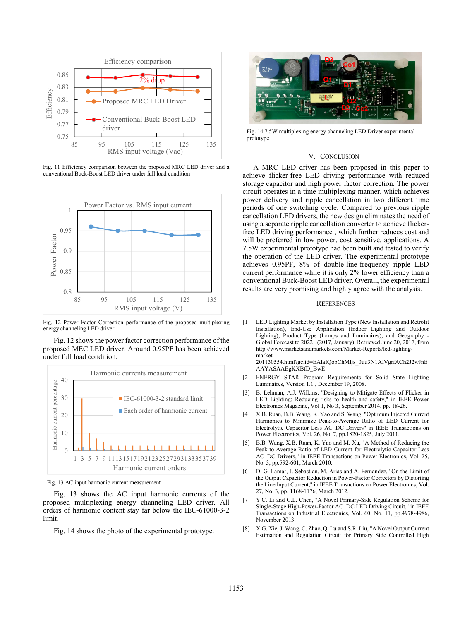

Fig. 11 Efficiency comparison between the proposed MRC LED driver and a conventional Buck-Boost LED driver under full load condition



Fig. 12 Power Factor Correction performance of the proposed multiplexing energy channeling LED driver

Fig. 12 shows the power factor correction performance of the proposed MEC LED driver. Around 0.95PF has been achieved under full load condition.



Fig. 13 AC input harmonic current measurement

Fig. 13 shows the AC input harmonic currents of the proposed multiplexing energy channeling LED driver. All orders of harmonic content stay far below the IEC-61000-3-2 limit.

Fig. 14 shows the photo of the experimental prototype.



Fig. 14 7.5W multiplexing energy channeling LED Driver experimental prototype

# V. CONCLUSION

A MRC LED driver has been proposed in this paper to achieve flicker-free LED driving performance with reduced storage capacitor and high power factor correction. The power circuit operates in a time multiplexing manner, which achieves power delivery and ripple cancellation in two different time periods of one switching cycle. Compared to previous ripple cancellation LED drivers, the new design eliminates the need of using a separate ripple cancellation converter to achieve flickerfree LED driving performance , which further reduces cost and will be preferred in low power, cost sensitive, applications. A 7.5W experimental prototype had been built and tested to verify the operation of the LED driver. The experimental prototype achieves 0.95PF, 8% of double-line-frequency ripple LED current performance while it is only 2% lower efficiency than a conventional Buck-Boost LED driver. Overall, the experimental results are very promising and highly agree with the analysis.

# **REFERENCES**

[1] LED Lighting Market by Installation Type (New Installation and Retrofit Installation), End-Use Application (Indoor Lighting and Outdoor Lighting), Product Type (Lamps and Luminaires), and Geography - Global Forecast to 2022 . (2017, January). Retrieved June 20, 2017, from http://www.marketsandmarkets.com/Market-Reports/led-lightingmarket-

201130554.html?gclid=EAIaIQobChMIjs\_0uu3N1AIVgrfACh2J2wJnE AAYASAAEgKXBfD\_BwE

- [2] ENERGY STAR Program Requirements for Solid State Lighting Luminaires, Version 1.1 , December 19, 2008.
- [3] B. Lehman, A.J. Wilkins, "Designing to Mitigate Effects of Flicker in LED Lighting: Reducing risks to health and safety," in IEEE Power Electronics Magazine, Vol 1, No 3, September 2014. pp. 18-26.
- [4] X.B. Ruan, B.B. Wang, K. Yao and S. Wang, "Optimum Injected Current Harmonics to Minimize Peak-to-Average Ratio of LED Current for Electrolytic Capacitor Less AC–DC Drivers" in IEEE Transactions on Power Electronics, Vol. 26, No. 7, pp.1820-1825, July 2011.
- [5] B.B. Wang, X.B. Ruan, K. Yao and M. Xu, "A Method of Reducing the Peak-to-Average Ratio of LED Current for Electrolytic Capacitor-Less AC–DC Drivers," in IEEE Transactions on Power Electronics, Vol. 25, No. 3, pp.592-601, March 2010.
- [6] D. G. Lamar, J. Sebastian, M. Arias and A. Fernandez, "On the Limit of the Output Capacitor Reduction in Power-Factor Correctors by Distorting the Line Input Current," in IEEE Transactions on Power Electronics, Vol. 27, No. 3, pp. 1168-1176, March 2012.
- Y.C. Li and C.L. Chen, "A Novel Primary-Side Regulation Scheme for Single-Stage High-Power-Factor AC–DC LED Driving Circuit," in IEEE Transactions on Industrial Electronics, Vol. 60, No. 11, pp.4978-4986, November 2013.
- [8] X.G. Xie, J. Wang, C. Zhao, Q. Lu and S.R. Liu, "A Novel Output Current Estimation and Regulation Circuit for Primary Side Controlled High